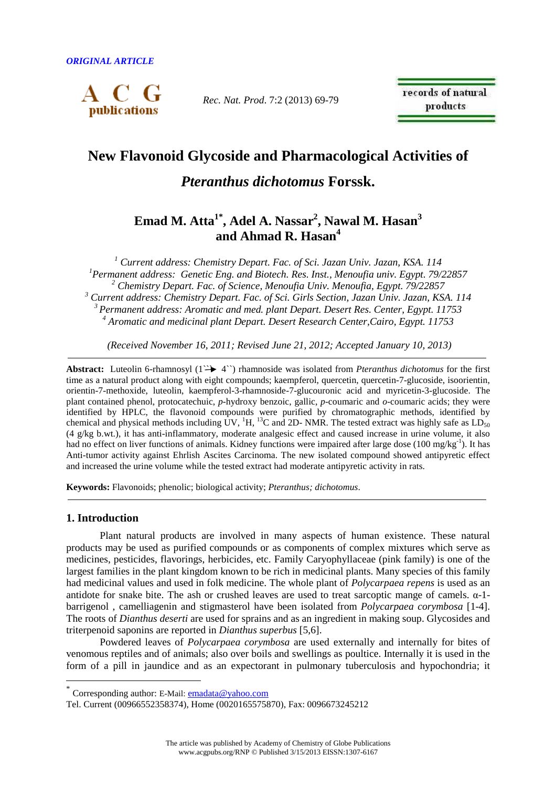

*Rec. Nat. Prod*. 7:2 (2013) 69-79

records of natural products

# **New Flavonoid Glycoside and Pharmacological Activities of**

# *Pteranthus dichotomus* **Forssk.**

# **Emad M. Atta1\*, Adel A. Nassar<sup>2</sup> , Nawal M. Hasan<sup>3</sup> and Ahmad R. Hasan<sup>4</sup>**

<sup>1</sup> Current address: Chemistry Depart. Fac. of Sci. Jazan Univ. Jazan, KSA. 114 *Permanent address: Genetic Eng. and Biotech. Res. Inst., Menoufia univ. Egypt. 79/22857 Chemistry Depart. Fac. of Science, Menoufia Univ. Menoufia, Egypt. 79/22857 Current address: Chemistry Depart. Fac. of Sci. Girls Section, Jazan Univ. Jazan, KSA. 114 Permanent address: Aromatic and med. plant Depart. Desert Res. Center, Egypt. 11753 Aromatic and medicinal plant Depart. Desert Research Center,Cairo, Egypt. 11753* 

 *(Received November 16, 2011; Revised June 21, 2012; Accepted January 10, 2013)* 

Abstract: Luteolin 6-rhamnosyl (1<sup>22</sup> 4<sup>23</sup>) rhamnoside was isolated from *Pteranthus dichotomus* for the first time as a natural product along with eight compounds; kaempferol, quercetin, quercetin-7-glucoside, isoorientin, orientin-7-methoxide, luteolin, kaempferol-3-rhamnoside-7-glucouronic acid and myricetin-3-glucoside. The plant contained phenol, protocatechuic, *p*-hydroxy benzoic, gallic, *p*-coumaric and *o*-coumaric acids; they were identified by HPLC, the flavonoid compounds were purified by chromatographic methods, identified by chemical and physical methods including UV,  ${}^{1}H$ ,  ${}^{13}C$  and 2D- NMR. The tested extract was highly safe as  $LD_{50}$ (4 g/kg b.wt.), it has anti-inflammatory, moderate analgesic effect and caused increase in urine volume, it also had no effect on liver functions of animals. Kidney functions were impaired after large dose (100 mg/kg<sup>-1</sup>). It has Anti-tumor activity against Ehrlish Ascites Carcinoma. The new isolated compound showed antipyretic effect and increased the urine volume while the tested extract had moderate antipyretic activity in rats.

**Keywords:** Flavonoids; phenolic; biological activity; *Pteranthus; dichotomus*.

# **1. Introduction**

 $\overline{a}$ 

Plant natural products are involved in many aspects of human existence. These natural products may be used as purified compounds or as components of complex mixtures which serve as medicines, pesticides, flavorings, herbicides, etc. Family Caryophyllaceae (pink family) is one of the largest families in the plant kingdom known to be rich in medicinal plants. Many species of this family had medicinal values and used in folk medicine. The whole plant of *Polycarpaea repens* is used as an antidote for snake bite. The ash or crushed leaves are used to treat sarcoptic mange of camels. α-1 barrigenol , camelliagenin and stigmasterol have been isolated from *Polycarpaea corymbosa* [1-4]. The roots of *Dianthus deserti* are used for sprains and as an ingredient in making soup. Glycosides and triterpenoid saponins are reported in *Dianthus superbus* [5,6].

Powdered leaves of *Polycarpaea corymbosa* are used externally and internally for bites of venomous reptiles and of animals; also over boils and swellings as poultice. Internally it is used in the form of a pill in jaundice and as an expectorant in pulmonary tuberculosis and hypochondria; it

<sup>\*</sup> Corresponding author: E-Mail: emadata@yahoo.com

Tel. Current (00966552358374), Home (0020165575870), Fax: 0096673245212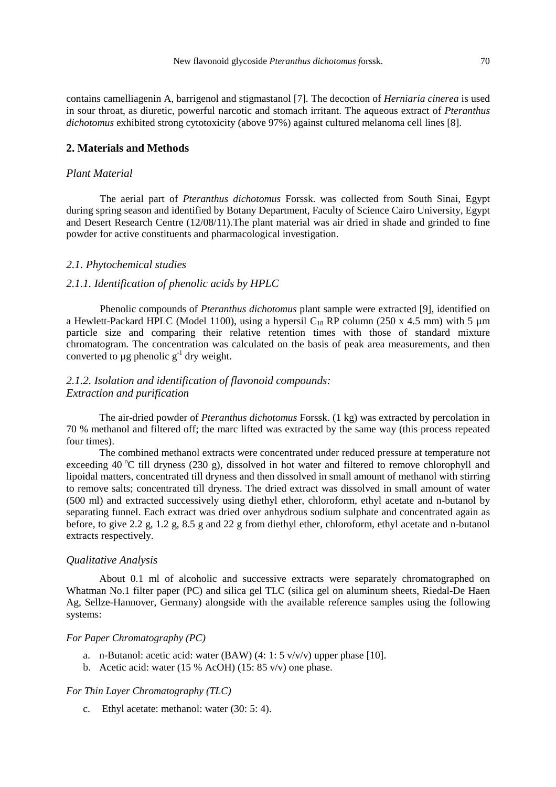contains camelliagenin A, barrigenol and stigmastanol [7]. The decoction of *Herniaria cinerea* is used in sour throat, as diuretic, powerful narcotic and stomach irritant. The aqueous extract of *Pteranthus dichotomus* exhibited strong cytotoxicity (above 97%) against cultured melanoma cell lines [8].

# **2. Materials and Methods**

## *Plant Material*

The aerial part of *Pteranthus dichotomus* Forssk. was collected from South Sinai, Egypt during spring season and identified by Botany Department, Faculty of Science Cairo University, Egypt and Desert Research Centre (12/08/11).The plant material was air dried in shade and grinded to fine powder for active constituents and pharmacological investigation.

#### *2.1. Phytochemical studies*

## *2.1.1. Identification of phenolic acids by HPLC*

Phenolic compounds of *Pteranthus dichotomus* plant sample were extracted [9], identified on a Hewlett-Packard HPLC (Model 1100), using a hypersil  $C_{18}$  RP column (250 x 4.5 mm) with 5  $\mu$ m particle size and comparing their relative retention times with those of standard mixture chromatogram. The concentration was calculated on the basis of peak area measurements, and then converted to ug phenolic  $g^{-1}$  dry weight.

# *2.1.2. Isolation and identification of flavonoid compounds: Extraction and purification*

 The air-dried powder of *Pteranthus dichotomus* Forssk. (1 kg) was extracted by percolation in 70 % methanol and filtered off; the marc lifted was extracted by the same way (this process repeated four times).

 The combined methanol extracts were concentrated under reduced pressure at temperature not exceeding 40 $\degree$ C till dryness (230 g), dissolved in hot water and filtered to remove chlorophyll and lipoidal matters, concentrated till dryness and then dissolved in small amount of methanol with stirring to remove salts; concentrated till dryness. The dried extract was dissolved in small amount of water (500 ml) and extracted successively using diethyl ether, chloroform, ethyl acetate and n-butanol by separating funnel. Each extract was dried over anhydrous sodium sulphate and concentrated again as before, to give 2.2 g, 1.2 g, 8.5 g and 22 g from diethyl ether, chloroform, ethyl acetate and n-butanol extracts respectively.

# *Qualitative Analysis*

About 0.1 ml of alcoholic and successive extracts were separately chromatographed on Whatman No.1 filter paper (PC) and silica gel TLC (silica gel on aluminum sheets, Riedal-De Haen Ag, Sellze-Hannover, Germany) alongside with the available reference samples using the following systems:

#### *For Paper Chromatography (PC)*

- a. n-Butanol: acetic acid: water (BAW) (4: 1: 5 v/v/v) upper phase [10].
- b. Acetic acid: water (15 % AcOH) (15: 85 v/v) one phase.

## *For Thin Layer Chromatography (TLC)*

c. Ethyl acetate: methanol: water (30: 5: 4).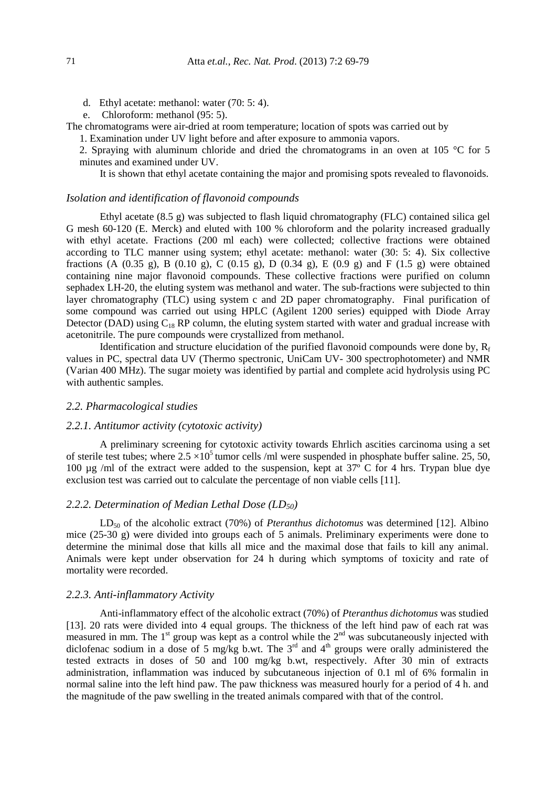- d. Ethyl acetate: methanol: water (70: 5: 4).
- e. Chloroform: methanol (95: 5).

The chromatograms were air-dried at room temperature; location of spots was carried out by

1. Examination under UV light before and after exposure to ammonia vapors.

2. Spraying with aluminum chloride and dried the chromatograms in an oven at 105 °C for 5 minutes and examined under UV.

It is shown that ethyl acetate containing the major and promising spots revealed to flavonoids.

#### *Isolation and identification of flavonoid compounds*

Ethyl acetate (8.5 g) was subjected to flash liquid chromatography (FLC) contained silica gel G mesh 60-120 (E. Merck) and eluted with 100 % chloroform and the polarity increased gradually with ethyl acetate. Fractions (200 ml each) were collected; collective fractions were obtained according to TLC manner using system; ethyl acetate: methanol: water (30: 5: 4). Six collective fractions (A  $(0.35 \text{ g})$ , B  $(0.10 \text{ g})$ , C  $(0.15 \text{ g})$ , D  $(0.34 \text{ g})$ , E  $(0.9 \text{ g})$  and F  $(1.5 \text{ g})$  were obtained containing nine major flavonoid compounds. These collective fractions were purified on column sephadex LH-20, the eluting system was methanol and water. The sub-fractions were subjected to thin layer chromatography (TLC) using system c and 2D paper chromatography. Final purification of some compound was carried out using HPLC (Agilent 1200 series) equipped with Diode Array Detector (DAD) using  $C_{18}$  RP column, the eluting system started with water and gradual increase with acetonitrile. The pure compounds were crystallized from methanol.

Identification and structure elucidation of the purified flavonoid compounds were done by,  $R_f$ values in PC, spectral data UV (Thermo spectronic, UniCam UV- 300 spectrophotometer) and NMR (Varian 400 MHz). The sugar moiety was identified by partial and complete acid hydrolysis using PC with authentic samples.

#### *2.2. Pharmacological studies*

#### *2.2.1. Antitumor activity (cytotoxic activity)*

A preliminary screening for cytotoxic activity towards Ehrlich ascities carcinoma using a set of sterile test tubes; where  $2.5 \times 10^5$  tumor cells /ml were suspended in phosphate buffer saline. 25, 50, 100 µg /ml of the extract were added to the suspension, kept at 37º C for 4 hrs. Trypan blue dye exclusion test was carried out to calculate the percentage of non viable cells [11].

## *2.2.2. Determination of Median Lethal Dose (LD50)*

LD<sub>50</sub> of the alcoholic extract (70%) of *Pteranthus dichotomus* was determined [12]. Albino mice (25-30 g) were divided into groups each of 5 animals. Preliminary experiments were done to determine the minimal dose that kills all mice and the maximal dose that fails to kill any animal. Animals were kept under observation for 24 h during which symptoms of toxicity and rate of mortality were recorded.

#### *2.2.3. Anti-inflammatory Activity*

Anti-inflammatory effect of the alcoholic extract (70%) of *Pteranthus dichotomus* was studied [13]. 20 rats were divided into 4 equal groups. The thickness of the left hind paw of each rat was measured in mm. The 1<sup>st</sup> group was kept as a control while the 2<sup>nd</sup> was subcutaneously injected with diclofenac sodium in a dose of 5 mg/kg b.wt. The  $3<sup>rd</sup>$  and  $4<sup>th</sup>$  groups were orally administered the tested extracts in doses of 50 and 100 mg/kg b.wt, respectively. After 30 min of extracts administration, inflammation was induced by subcutaneous injection of 0.1 ml of 6% formalin in normal saline into the left hind paw. The paw thickness was measured hourly for a period of 4 h. and the magnitude of the paw swelling in the treated animals compared with that of the control.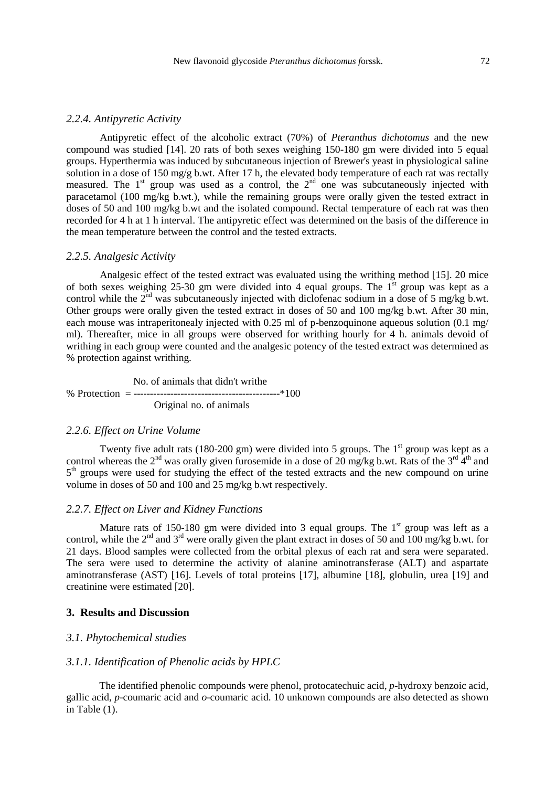#### *2.2.4. Antipyretic Activity*

Antipyretic effect of the alcoholic extract (70%) of *Pteranthus dichotomus* and the new compound was studied [14]. 20 rats of both sexes weighing 150-180 gm were divided into 5 equal groups. Hyperthermia was induced by subcutaneous injection of Brewer's yeast in physiological saline solution in a dose of 150 mg/g b.wt. After 17 h, the elevated body temperature of each rat was rectally measured. The  $1<sup>st</sup>$  group was used as a control, the  $2<sup>nd</sup>$  one was subcutaneously injected with paracetamol (100 mg/kg b.wt.), while the remaining groups were orally given the tested extract in doses of 50 and 100 mg/kg b.wt and the isolated compound. Rectal temperature of each rat was then recorded for 4 h at 1 h interval. The antipyretic effect was determined on the basis of the difference in the mean temperature between the control and the tested extracts.

#### *2.2.5. Analgesic Activity*

Analgesic effect of the tested extract was evaluated using the writhing method [15]. 20 mice of both sexes weighing 25-30 gm were divided into 4 equal groups. The  $1<sup>st</sup>$  group was kept as a control while the  $2^{nd}$  was subcutaneously injected with diclofenac sodium in a dose of 5 mg/kg b.wt. Other groups were orally given the tested extract in doses of 50 and 100 mg/kg b.wt. After 30 min, each mouse was intraperitonealy injected with 0.25 ml of p-benzoquinone aqueous solution (0.1 mg/ ml). Thereafter, mice in all groups were observed for writhing hourly for 4 h. animals devoid of writhing in each group were counted and the analgesic potency of the tested extract was determined as % protection against writhing.

 No. of animals that didn't writhe % Protection = -------------------------------------------\*100 Original no. of animals

# *2.2.6. Effect on Urine Volume*

Twenty five adult rats (180-200 gm) were divided into 5 groups. The  $1<sup>st</sup>$  group was kept as a control whereas the 2<sup>nd</sup> was orally given furosemide in a dose of 20 mg/kg b.wt. Rats of the 3<sup>rd</sup> 4<sup>th</sup> and 5<sup>th</sup> groups were used for studying the effect of the tested extracts and the new compound on urine volume in doses of 50 and 100 and 25 mg/kg b.wt respectively.

# *2.2.7. Effect on Liver and Kidney Functions*

Mature rats of 150-180 gm were divided into 3 equal groups. The  $1<sup>st</sup>$  group was left as a control, while the  $2<sup>nd</sup>$  and  $3<sup>rd</sup>$  were orally given the plant extract in doses of 50 and 100 mg/kg b.wt. for 21 days. Blood samples were collected from the orbital plexus of each rat and sera were separated. The sera were used to determine the activity of alanine aminotransferase (ALT) and aspartate aminotransferase (AST) [16]. Levels of total proteins [17], albumine [18], globulin, urea [19] and creatinine were estimated [20].

# **3. Results and Discussion**

#### *3.1. Phytochemical studies*

# *3.1.1. Identification of Phenolic acids by HPLC*

The identified phenolic compounds were phenol, protocatechuic acid, *p*-hydroxy benzoic acid, gallic acid, *p*-coumaric acid and *o*-coumaric acid. 10 unknown compounds are also detected as shown in Table (1).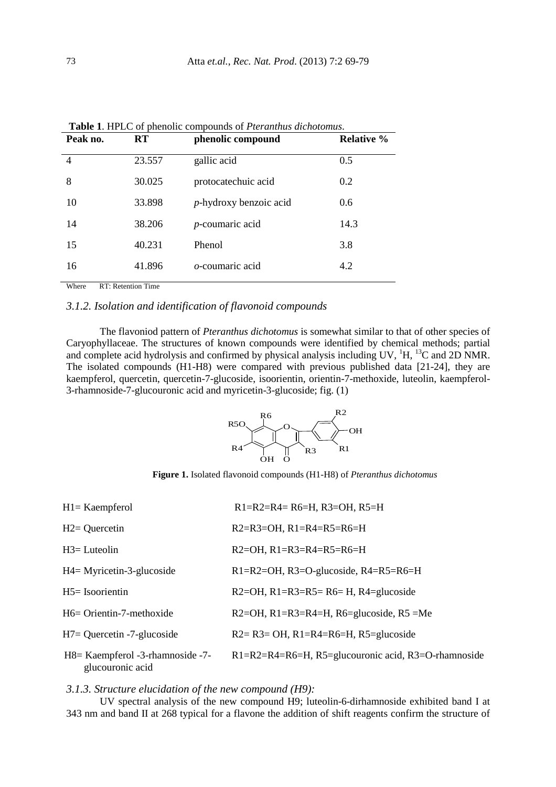| Peak no.       | <b>RT</b> | phenolic compound         | <b>Relative %</b> |
|----------------|-----------|---------------------------|-------------------|
| $\overline{4}$ | 23.557    | gallic acid               | 0.5               |
| 8              | 30.025    | protocatechuic acid       | 0.2               |
| 10             | 33.898    | $p$ -hydroxy benzoic acid | 0.6               |
| 14             | 38.206    | $p$ -coumaric acid        | 14.3              |
| 15             | 40.231    | Phenol                    | 3.8               |
| 16             | 41.896    | o-coumaric acid           | 4.2               |

 **Table 1**. HPLC of phenolic compounds of *Pteranthus dichotomus*.

Where RT: Retention Time

# *3.1.2. Isolation and identification of flavonoid compounds*

The flavoniod pattern of *Pteranthus dichotomus* is somewhat similar to that of other species of Caryophyllaceae. The structures of known compounds were identified by chemical methods; partial and complete acid hydrolysis and confirmed by physical analysis including UV, <sup>1</sup>H, <sup>13</sup>C and 2D NMR. The isolated compounds (H1-H8) were compared with previous published data [21-24], they are kaempferol, quercetin, quercetin-7-glucoside, isoorientin, orientin-7-methoxide, luteolin, kaempferol-3-rhamnoside-7-glucouronic acid and myricetin-3-glucoside; fig. (1)



**Figure 1.** Isolated flavonoid compounds (H1-H8) of *Pteranthus dichotomus* 

| $H1 =$ Kaempferol                                     | $R1=R2=R4=R6=H$ , R3=OH, R5=H                        |
|-------------------------------------------------------|------------------------------------------------------|
| $H2 =$ Quercetin                                      | $R2=R3=OH$ , $R1=R4=R5=R6=H$                         |
| $H3 = Luteolin$                                       | $R2=OH$ , $R1=R3=R4=R5=R6=H$                         |
| $H4 = Myricetin-3-glucoside$                          | $R1=R2=OH$ , $R3=O$ -glucoside, $R4=R5=R6=H$         |
| $H5 = Isoorientin$                                    | $R2=OH$ , $R1=R3=R5=R6=H$ , $R4=glucoside$           |
| H6= Orientin-7-methoxide                              | $R2=OH$ , $R1=R3=R4=H$ , $R6=glucoside$ , $R5=Me$    |
| $H7 =$ Quercetin -7-glucoside                         | $R2 = R3 = OH$ , $R1 = R4 = R6 = H$ , $R5 = glucose$ |
| H8 = Kaempferol -3-rhamnoside -7-<br>glucouronic acid | R1=R2=R4=R6=H, R5=glucouronic acid, R3=O-rhamnoside  |

*3.1.3. Structure elucidation of the new compound (H9):* 

UV spectral analysis of the new compound H9; luteolin-6-dirhamnoside exhibited band I at 343 nm and band II at 268 typical for a flavone the addition of shift reagents confirm the structure of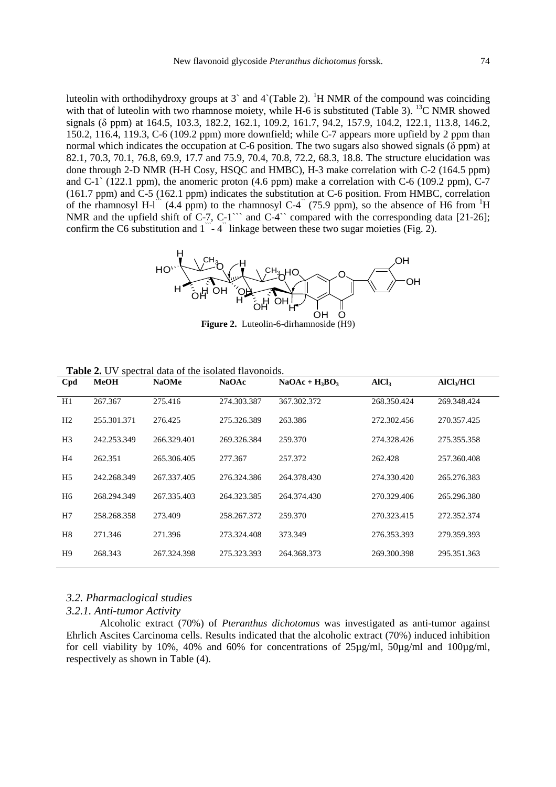luteolin with orthodihydroxy groups at 3` and 4`(Table 2). <sup>1</sup>H NMR of the compound was coinciding with that of luteolin with two rhamnose moiety, while H-6 is substituted (Table 3). <sup>13</sup>C NMR showed signals (δ ppm) at 164.5, 103.3, 182.2, 162.1, 109.2, 161.7, 94.2, 157.9, 104.2, 122.1, 113.8, 146.2, 150.2, 116.4, 119.3, C-6 (109.2 ppm) more downfield; while C-7 appears more upfield by 2 ppm than normal which indicates the occupation at C-6 position. The two sugars also showed signals ( $\delta$  ppm) at 82.1, 70.3, 70.1, 76.8, 69.9, 17.7 and 75.9, 70.4, 70.8, 72.2, 68.3, 18.8. The structure elucidation was done through 2-D NMR (H-H Cosy, HSQC and HMBC), H-3 make correlation with C-2 (164.5 ppm) and C-1` (122.1 ppm), the anomeric proton (4.6 ppm) make a correlation with C-6 (109.2 ppm), C-7 (161.7 ppm) and C-5 (162.1 ppm) indicates the substitution at C-6 position. From HMBC, correlation of the rhamnosyl H-l<sup> $\hat{ }$ </sup> (4.4 ppm) to the rhamnosyl C-4 $\hat{ }$  (75.9 ppm), so the absence of H6 from  ${}^{1}$ H NMR and the upfield shift of C-7, C-1``` and C-4`` compared with the corresponding data [21-26]; confirm the C6 substitution and  $1 - 4$ <sup>"</sup> linkage between these two sugar moieties (Fig. 2).



**Figure 2.** Luteolin-6-dirhamnoside (H9)

| <b>Table 2.</b> O v spectral data of the isolated Havonoids. |             |              |              |                 |                   |                        |
|--------------------------------------------------------------|-------------|--------------|--------------|-----------------|-------------------|------------------------|
| Cpd                                                          | <b>MeOH</b> | <b>NaOMe</b> | <b>NaOAc</b> | $NaOAc + H3BO3$ | AICl <sub>3</sub> | AICI <sub>3</sub> /HCI |
| H1                                                           | 267.367     | 275.416      | 274.303.387  | 367.302.372     | 268.350.424       | 269.348.424            |
| H <sub>2</sub>                                               | 255.301.371 | 276.425      | 275.326.389  | 263.386         | 272.302.456       | 270.357.425            |
| H <sub>3</sub>                                               | 242.253.349 | 266.329.401  | 269.326.384  | 259.370         | 274.328.426       | 275.355.358            |
| H4                                                           | 262.351     | 265.306.405  | 277.367      | 257.372         | 262.428           | 257.360.408            |
| H <sub>5</sub>                                               | 242.268.349 | 267.337.405  | 276.324.386  | 264.378.430     | 274.330.420       | 265.276.383            |
| H <sub>6</sub>                                               | 268.294.349 | 267.335.403  | 264.323.385  | 264.374.430     | 270.329.406       | 265.296.380            |
| H7                                                           | 258.268.358 | 273.409      | 258.267.372  | 259.370         | 270.323.415       | 272.352.374            |
| H <sub>8</sub>                                               | 271.346     | 271.396      | 273.324.408  | 373.349         | 276.353.393       | 279.359.393            |
| H <sub>9</sub>                                               | 268.343     | 267.324.398  | 275.323.393  | 264.368.373     | 269.300.398       | 295.351.363            |
|                                                              |             |              |              |                 |                   |                        |

#### *3.2. Pharmaclogical studies*

**Table 2.** UV spectral data of the isolated flavonoids.

## *3.2.1. Anti-tumor Activity*

Alcoholic extract (70%) of *Pteranthus dichotomus* was investigated as anti-tumor against Ehrlich Ascites Carcinoma cells. Results indicated that the alcoholic extract (70%) induced inhibition for cell viability by 10%, 40% and 60% for concentrations of 25µg/ml, 50µg/ml and 100µg/ml, respectively as shown in Table (4).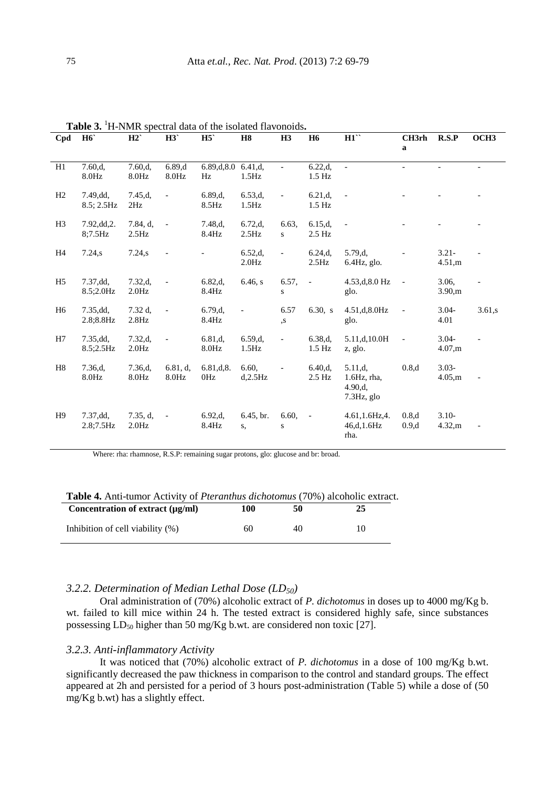| Cpd            | H <sub>6</sub>          | H2                        | H3                       | H5                  | <b>H8</b>                 | H <sub>3</sub>           | <b>H6</b>                 | H1                                                    | CH3rh<br>a               | R.S.P                    | OCH <sub>3</sub>         |
|----------------|-------------------------|---------------------------|--------------------------|---------------------|---------------------------|--------------------------|---------------------------|-------------------------------------------------------|--------------------------|--------------------------|--------------------------|
| H1             | 7.60,d,<br>8.0Hz        | 7.60,d,<br>8.0Hz          | 6.89,d<br>8.0Hz          | 6.89,d,8.0<br>Hz    | 6.41,d,<br>1.5Hz          | $\overline{\phantom{0}}$ | 6.22,d,<br>$1.5$ Hz       | $\blacksquare$                                        | $\overline{\phantom{0}}$ | $\overline{\phantom{a}}$ | $\overline{\phantom{a}}$ |
| H2             | 7.49,dd,<br>8.5; 2.5Hz  | 7.45,d,<br>2Hz            | $\overline{a}$           | 6.89,d,<br>8.5Hz    | 6.53,d,<br>$1.5\text{Hz}$ | $\overline{\phantom{0}}$ | 6.21,d,<br>$1.5$ Hz       | $\qquad \qquad -$                                     |                          |                          |                          |
| H <sub>3</sub> | 7.92, dd, 2.<br>8;7.5Hz | $7.84, d$ ,<br>2.5Hz      | $\overline{\phantom{a}}$ | 7.48,d,<br>8.4Hz    | 6.72,d.<br>$2.5\text{Hz}$ | 6.63,<br>S               | 6.15.d.<br>$2.5$ Hz       | $\overline{\phantom{m}}$                              |                          |                          |                          |
| H4             | 7.24,s                  | 7.24, s                   |                          |                     | 6.52,d,<br>2.0Hz          | $\overline{\phantom{0}}$ | 6.24.d.<br>$2.5\text{Hz}$ | 5.79.d.<br>$6.4\text{Hz}$ , glo.                      |                          | $3.21 -$<br>4.51,m       |                          |
| H <sub>5</sub> | 7.37, dd,<br>8.5;2.0Hz  | 7.32,d,<br>2.0 Hz         |                          | 6.82,d,<br>8.4Hz    | 6.46, s                   | 6.57,<br>S               | $\blacksquare$            | 4.53,d,8.0 Hz<br>glo.                                 |                          | 3.06,<br>3.90,m          |                          |
| H <sub>6</sub> | 7.35, dd,<br>2.8;8.8Hz  | 7.32 d,<br>$2.8\text{Hz}$ | $\overline{a}$           | 6.79,d,<br>8.4Hz    | $\overline{\phantom{0}}$  | 6.57<br>, S              | $6.30_s$ , s              | 4.51,d,8.0Hz<br>glo.                                  |                          | $3.04 -$<br>4.01         | 3.61,s                   |
| H7             | 7.35, dd,<br>8.5;2.5Hz  | 7.32,d,<br>2.0Hz          |                          | 6.81,d,<br>$8.0$ Hz | 6.59,d,<br>1.5Hz          | $\overline{\phantom{0}}$ | 6.38,d,<br>$1.5$ Hz       | 5.11,d,10.0H<br>z, glo.                               |                          | $3.04 -$<br>4.07,m       |                          |
| H <sub>8</sub> | 7.36,d,<br>$8.0$ Hz     | 7.36,d,<br>$8.0$ Hz       | 6.81, d,<br>$8.0$ Hz     | 6.81,d,8.<br>0Hz    | 6.60,<br>$d$ , $2.5Hz$    |                          | 6.40,d,<br>$2.5$ Hz       | 5.11,d,<br>$1.6Hz$ , rha,<br>4.90,d.<br>$7.3Hz$ , glo | 0.8,d                    | $3.03 -$<br>4.05,m       |                          |
| H <sup>9</sup> | 7.37, dd,<br>2.8;7.5Hz  | 7.35, d,<br>2.0Hz         | $\blacksquare$           | 6.92,d,<br>8.4Hz    | 6.45, br.<br>S,           | 6.60,<br>S               | $\blacksquare$            | $4.61, 1.6$ Hz, $4.$<br>46,d, 1.6Hz<br>rha.           | 0.8,d<br>0.9,d           | $3.10-$<br>4.32,m        |                          |

**Table 3.** <sup>1</sup>H-NMR spectral data of the isolated flavonoids**.** 

Where: rha: rhamnose, R.S.P: remaining sugar protons, glo: glucose and br: broad.

| Concentration of extract $(\mu g/ml)$ | 100 | 50 | 25 |
|---------------------------------------|-----|----|----|
| Inhibition of cell viability $(\%)$   | 60  | 40 |    |

# *3.2.2. Determination of Median Lethal Dose (LD50)*

Oral administration of (70%) alcoholic extract of *P. dichotomus* in doses up to 4000 mg/Kg b. wt. failed to kill mice within 24 h. The tested extract is considered highly safe, since substances possessing  $LD_{50}$  higher than 50 mg/Kg b.wt. are considered non toxic [27].

### *3.2.3. Anti-inflammatory Activity*

It was noticed that (70%) alcoholic extract of *P. dichotomus* in a dose of 100 mg/Kg b.wt. significantly decreased the paw thickness in comparison to the control and standard groups. The effect appeared at 2h and persisted for a period of 3 hours post-administration (Table 5) while a dose of (50  $mg/Kg$  b.wt) has a slightly effect.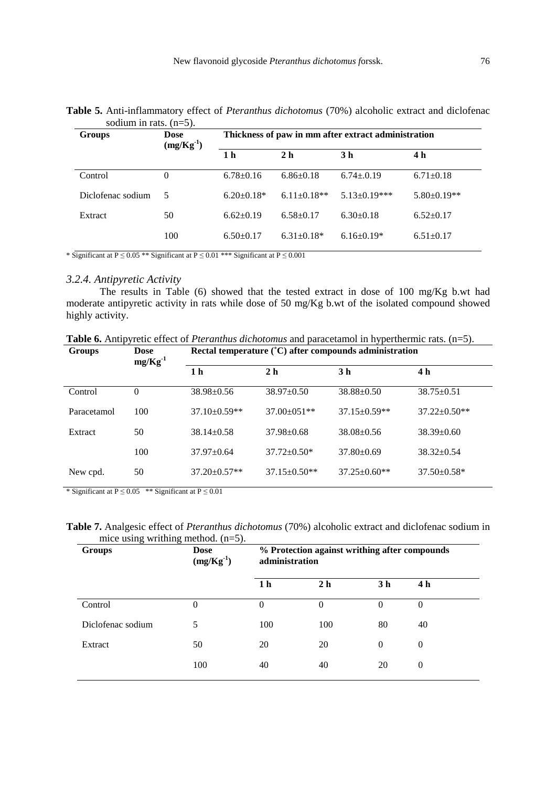| Groups            | <b>Dose</b><br>$(mg/Kg^{-1})$ |                   | Thickness of paw in mm after extract administration |                     |                   |
|-------------------|-------------------------------|-------------------|-----------------------------------------------------|---------------------|-------------------|
|                   |                               | 1 <sub>h</sub>    | 2 <sub>h</sub>                                      | 3 <sub>h</sub>      | 4 h               |
| Control           | 0                             | $6.78 \pm 0.16$   | $6.86 \pm 0.18$                                     | $6.74 \pm 0.19$     | $6.71 \pm 0.18$   |
| Diclofenac sodium | 5                             | $6.20 \pm 0.18^*$ | $6.11 \pm 0.18**$                                   | $5.13 \pm 0.19$ *** | $5.80 \pm 0.19**$ |
| Extract           | 50                            | $6.62 \pm 0.19$   | $6.58 \pm 0.17$                                     | $6.30+0.18$         | $6.52 \pm 0.17$   |
|                   | 100                           | $6.50+0.17$       | $6.31 \pm 0.18*$                                    | $6.16 \pm 0.19*$    | $6.51 \pm 0.17$   |

**Table 5.** Anti-inflammatory effect of *Pteranthus dichotomus* (70%) alcoholic extract and diclofenac sodium in rats. (n=5).

\* Significant at P  $\leq$  0.05 \*\* Significant at P  $\leq$  0.01 \*\*\* Significant at P  $\leq$  0.001

# *3.2.4. Antipyretic Activity*

The results in Table (6) showed that the tested extract in dose of 100 mg/Kg b.wt had moderate antipyretic activity in rats while dose of 50 mg/Kg b.wt of the isolated compound showed highly activity.

| $\mathbf{C}$ |  | $\mathbf{D}$ . And A construction (AC) of $\mathbf{A}$ and $\mathbf{A}$ are also as $\mathbf{A}$ and $\mathbf{A}$ are $\mathbf{A}$ |                                                                                                                    |  |
|--------------|--|------------------------------------------------------------------------------------------------------------------------------------|--------------------------------------------------------------------------------------------------------------------|--|
|              |  |                                                                                                                                    | <b>Table 6.</b> Antipyretic effect of <i>Pteranthus dichotomus</i> and paracetamol in hyperthermic rats. $(n=5)$ . |  |

| Groups      | <b>Dose</b><br>$mg/Kg^{-1}$ | Rectal temperature (°C) after compounds administration |                    |                    |                    |  |  |  |
|-------------|-----------------------------|--------------------------------------------------------|--------------------|--------------------|--------------------|--|--|--|
|             |                             | 1 h                                                    | 2 <sub>h</sub>     | 3 h                | 4 h                |  |  |  |
| Control     | $\theta$                    | $38.98 \pm 0.56$                                       | $38.97 \pm 0.50$   | $38.88 \pm 0.50$   | $38.75 \pm 0.51$   |  |  |  |
| Paracetamol | 100                         | 37.10±0.59**                                           | $37.00 \pm 0.51**$ | $37.15 \pm 0.59**$ | $37.22 \pm 0.50**$ |  |  |  |
| Extract     | 50                          | $38.14 \pm 0.58$                                       | $37.98 \pm 0.68$   | $38.08 \pm 0.56$   | $38.39 \pm 0.60$   |  |  |  |
|             | 100                         | $37.97 \pm 0.64$                                       | $37.72 \pm 0.50^*$ | $37.80 \pm 0.69$   | $38.32 \pm 0.54$   |  |  |  |
| New cpd.    | 50                          | $37.20 \pm 0.57**$                                     | $37.15 \pm 0.50**$ | $37.25 \pm 0.60**$ | $37.50 \pm 0.58^*$ |  |  |  |

\* Significant at  $P \le 0.05$  \*\* Significant at  $P \le 0.01$ 

**Table 7.** Analgesic effect of *Pteranthus dichotomus* (70%) alcoholic extract and diclofenac sodium in mice using writhing method.  $(n=5)$ .

| Groups            | <b>Dose</b><br>$(mg/Kg^{-1})$ | % Protection against writhing after compounds<br>administration |                |                |                |  |  |
|-------------------|-------------------------------|-----------------------------------------------------------------|----------------|----------------|----------------|--|--|
|                   |                               | 1 <sub>h</sub>                                                  | 2 <sub>h</sub> | 3 <sub>h</sub> | 4 <sub>h</sub> |  |  |
| Control           | $\Omega$                      | 0                                                               | $\Omega$       | $\Omega$       | $\Omega$       |  |  |
| Diclofenac sodium | 5                             | 100                                                             | 100            | 80             | 40             |  |  |
| Extract           | 50                            | 20                                                              | 20             | $\theta$       | $\theta$       |  |  |
|                   | 100                           | 40                                                              | 40             | 20             | $\theta$       |  |  |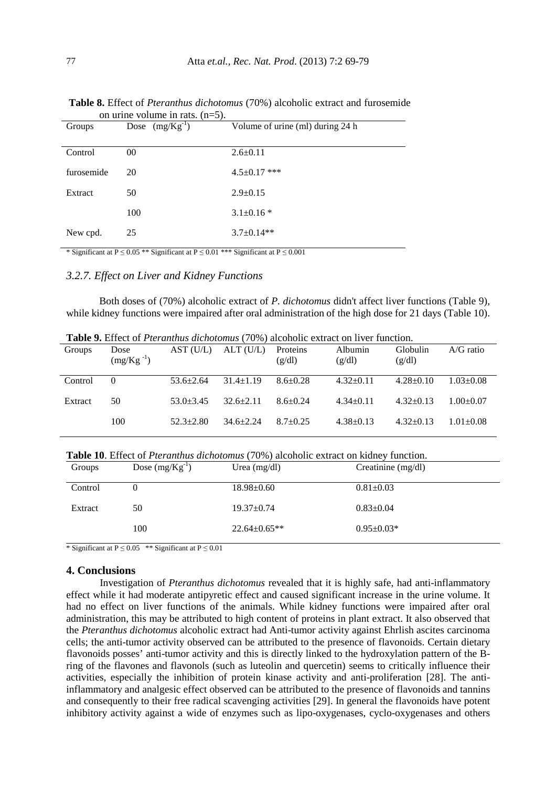|            | $\frac{1}{2}$       |                                  |
|------------|---------------------|----------------------------------|
| Groups     | Dose $(mg/Kg^{-1})$ | Volume of urine (ml) during 24 h |
| Control    | 00                  | $2.6 \pm 0.11$                   |
| furosemide | 20                  | $4.5 \pm 0.17$ ***               |
| Extract    | 50                  | $2.9 \pm 0.15$                   |
|            | 100                 | $3.1 \pm 0.16$ *                 |
| New cpd.   | 25                  | $3.7 \pm 0.14**$                 |

 **Table 8.** Effect of *Pteranthus dichotomus* (70%) alcoholic extract and furosemide on urine volume in rats.  $(n=5)$ .

\* Significant at P  $\leq$  0.05 \*\* Significant at P  $\leq$  0.01 \*\*\* Significant at P  $\leq$  0.001

# *3.2.7. Effect on Liver and Kidney Functions*

Both doses of (70%) alcoholic extract of *P. dichotomus* didn't affect liver functions (Table 9), while kidney functions were impaired after oral administration of the high dose for 21 days (Table 10).

|         | <b>Table 7.</b> Effect of Fightinus atchbibinus (1070) alcoholic extract on fiver function. |                 |                 |                    |                   |                    |                 |  |  |  |
|---------|---------------------------------------------------------------------------------------------|-----------------|-----------------|--------------------|-------------------|--------------------|-----------------|--|--|--|
| Groups  | Dose<br>$(mg/Kg^{-1})$                                                                      | AST (U/L)       | ALT(U/L)        | Proteins<br>(g/dl) | Albumin<br>(g/dl) | Globulin<br>(g/dl) | $A/G$ ratio     |  |  |  |
|         |                                                                                             |                 |                 |                    |                   |                    |                 |  |  |  |
| Control | $\Omega$                                                                                    | $53.6 \pm 2.64$ | $31.4 \pm 1.19$ | $8.6 \pm 0.28$     | $4.32+0.11$       | $4.28 \pm 0.10$    | $1.03 \pm 0.08$ |  |  |  |
| Extract | 50                                                                                          | $53.0 + 3.45$   | $32.6 \pm 2.11$ | $8.6 + 0.24$       | $4.34 \pm 0.11$   | $4.32+0.13$        | $1.00+0.07$     |  |  |  |
|         | 100                                                                                         | $52.3 \pm 2.80$ | $34.6 + 2.24$   | $8.7+0.25$         | $4.38 \pm 0.13$   | $4.32 \pm 0.13$    | $1.01 + 0.08$   |  |  |  |
|         |                                                                                             |                 |                 |                    |                   |                    |                 |  |  |  |

**Table 9.** Effect of *Pteranthus dichotomus* (70%) alcoholic extract on liver function.

**Table 10**. Effect of *Pteranthus dichotomus* (70%) alcoholic extract on kidney function.

| Groups  | Dose $(mg/Kg^{-1})$ | Urea $(mg/dl)$     | Creatinine $(mg/dl)$ |
|---------|---------------------|--------------------|----------------------|
| Control |                     | $18.98 \pm 0.60$   | $0.81 \pm 0.03$      |
| Extract | 50                  | $19.37 \pm 0.74$   | $0.83 \pm 0.04$      |
|         | 100                 | $22.64 \pm 0.65**$ | $0.95 \pm 0.03*$     |

\* Significant at  $P \le 0.05$  \*\* Significant at  $P \le 0.01$ 

#### **4. Conclusions**

Investigation of *Pteranthus dichotomus* revealed that it is highly safe, had anti-inflammatory effect while it had moderate antipyretic effect and caused significant increase in the urine volume. It had no effect on liver functions of the animals. While kidney functions were impaired after oral administration, this may be attributed to high content of proteins in plant extract. It also observed that the *Pteranthus dichotomus* alcoholic extract had Anti-tumor activity against Ehrlish ascites carcinoma cells; the anti-tumor activity observed can be attributed to the presence of flavonoids. Certain dietary flavonoids posses' anti-tumor activity and this is directly linked to the hydroxylation pattern of the Bring of the flavones and flavonols (such as luteolin and quercetin) seems to critically influence their activities, especially the inhibition of protein kinase activity and anti-proliferation [28]. The antiinflammatory and analgesic effect observed can be attributed to the presence of flavonoids and tannins and consequently to their free radical scavenging activities [29]. In general the flavonoids have potent inhibitory activity against a wide of enzymes such as lipo-oxygenases, cyclo-oxygenases and others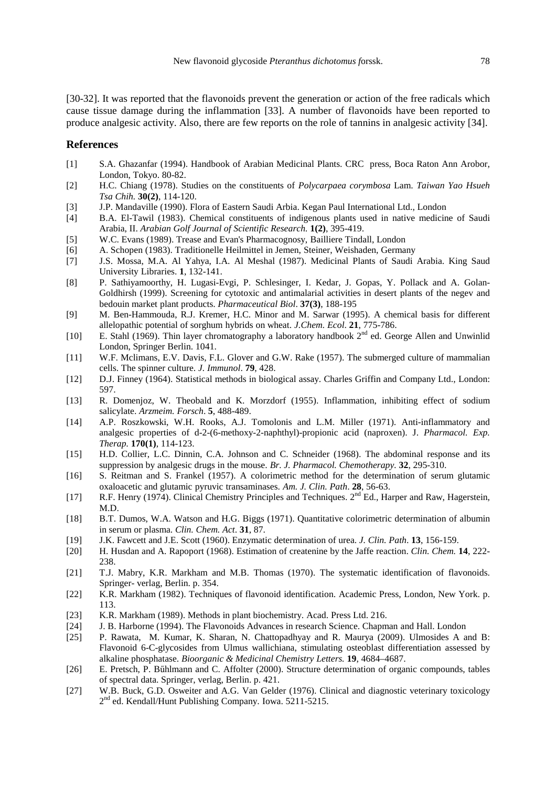[30-32]. It was reported that the flavonoids prevent the generation or action of the free radicals which cause tissue damage during the inflammation [33]. A number of flavonoids have been reported to produce analgesic activity. Also, there are few reports on the role of tannins in analgesic activity [34].

#### **References**

- [1] S.A. Ghazanfar (1994). Handbook of Arabian Medicinal Plants. CRC press, Boca Raton Ann Arobor, London, Tokyo. 80-82.
- [2] H.C. Chiang (1978). Studies on the constituents of *Polycarpaea corymbosa* Lam. *Taiwan Yao Hsueh Tsa Chih.* **30(2)**, 114-120.
- [3] J.P. Mandaville (1990). Flora of Eastern Saudi Arbia. Kegan Paul International Ltd., London
- [4] B.A. El-Tawil (1983). Chemical constituents of indigenous plants used in native medicine of Saudi Arabia, II. *Arabian Golf Journal of Scientific Research.* **1(2)**, 395-419.
- [5] W.C. Evans (1989). Trease and Evan's Pharmacognosy, Bailliere Tindall, London
- [6] A. Schopen (1983). Traditionelle Heilmittel in Jemen, Steiner, Weishaden, Germany
- [7] J.S. Mossa, M.A. Al Yahya, I.A. Al Meshal (1987). Medicinal Plants of Saudi Arabia. King Saud University Libraries. **1**, 132-141.
- [8] P. Sathiyamoorthy, H. Lugasi-Evgi, P. Schlesinger, I. Kedar, J. Gopas, Y. Pollack and A. Golan-Goldhirsh (1999). Screening for cytotoxic and antimalarial activities in desert plants of the negev and bedouin market plant products. *Pharmaceutical Biol*. **37(3)**, 188-195
- [9] M. Ben-Hammouda, R.J. Kremer, H.C. Minor and M. Sarwar (1995). A chemical basis for different allelopathic potential of sorghum hybrids on wheat. *J.Chem. Ecol*. **21**, 775-786.
- [10] E. Stahl (1969). Thin layer chromatography a laboratory handbook 2<sup>nd</sup> ed. George Allen and Unwinlid London, Springer Berlin. 1041.
- [11] W.F. Mclimans, E.V. Davis, F.L. Glover and G.W. Rake (1957). The submerged culture of mammalian cells. The spinner culture. *J. Immunol*. **79**, 428.
- [12] D.J. Finney (1964). Statistical methods in biological assay. Charles Griffin and Company Ltd., London: 597.
- [13] R. Domenjoz, W. Theobald and K. Morzdorf (1955). Inflammation, inhibiting effect of sodium salicylate. *Arzmeim. Forsch*. **5**, 488-489.
- [14] A.P. Roszkowski, W.H. Rooks, A.J. Tomolonis and L.M. Miller (1971). Anti-inflammatory and analgesic properties of d-2-(6-methoxy-2-naphthyl)-propionic acid (naproxen). J. *Pharmacol. Exp. Therap.* **170(1)**, 114-123.
- [15] H.D. Collier, L.C. Dinnin, C.A. Johnson and C. Schneider (1968). The abdominal response and its suppression by analgesic drugs in the mouse. *Br. J. Pharmacol. Chemotherapy.* **32**, 295-310.
- [16] S. Reitman and S. Frankel (1957). A colorimetric method for the determination of serum glutamic oxaloacetic and glutamic pyruvic transaminases. *Am. J. Clin. Path*. **28**, 56-63.
- [17] R.F. Henry (1974). Clinical Chemistry Principles and Techniques. 2<sup>nd</sup> Ed., Harper and Raw, Hagerstein, M.D.
- [18] B.T. Dumos, W.A. Watson and H.G. Biggs (1971). Quantitative colorimetric determination of albumin in serum or plasma. *Clin. Chem. Act*. **31**, 87.
- [19] J.K. Fawcett and J.E. Scott (1960). Enzymatic determination of urea. *J. Clin. Path*. **13**, 156-159.
- [20] H. Husdan and A. Rapoport (1968). Estimation of createnine by the Jaffe reaction. *Clin. Chem.* **14**, 222- 238.
- [21] T.J. Mabry, K.R. Markham and M.B. Thomas (1970). The systematic identification of flavonoids. Springer- verlag, Berlin. p. 354.
- [22] K.R. Markham (1982). Techniques of flavonoid identification. Academic Press, London, New York. p. 113.
- [23] K.R. Markham (1989). Methods in plant biochemistry. Acad. Press Ltd. 216.
- [24] J. B. Harborne (1994). The Flavonoids Advances in research Science. Chapman and Hall. London
- [25] P. Rawata, M. Kumar, K. Sharan, N. Chattopadhyay and R. Maurya (2009). Ulmosides A and B: Flavonoid 6-C-glycosides from Ulmus wallichiana, stimulating osteoblast differentiation assessed by alkaline phosphatase. *Bioorganic & Medicinal Chemistry Letters.* **19**, 4684–4687.
- [26] E. Pretsch, P. Bűhlmann and C. Affolter (2000). Structure determination of organic compounds, tables of spectral data. Springer, verlag, Berlin. p. 421.
- [27] W.B. Buck, G.D. Osweiter and A.G. Van Gelder (1976). Clinical and diagnostic veterinary toxicology 2<sup>nd</sup> ed. Kendall/Hunt Publishing Company. Iowa. 5211-5215.